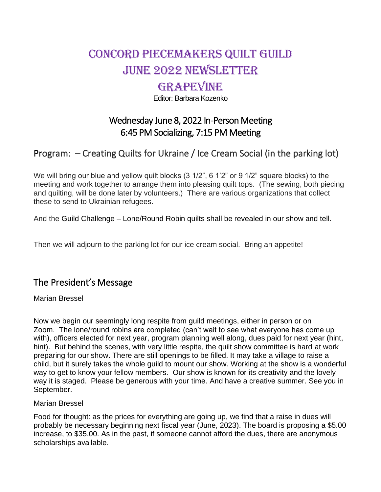# Concord Piecemakers Quilt Guild June 2022 Newsletter

# **GRAPEVINE**

Editor: Barbara Kozenko

# Wednesday June 8, 2022 In-Person Meeting 6:45 PM Socializing, 7:15 PM Meeting

# Program: – Creating Quilts for Ukraine / Ice Cream Social (in the parking lot)

We will bring our blue and yellow quilt blocks (3 1/2", 6 1'2" or 9 1/2" square blocks) to the meeting and work together to arrange them into pleasing quilt tops. (The sewing, both piecing and quilting, will be done later by volunteers.) There are various organizations that collect these to send to Ukrainian refugees.

And the Guild Challenge – Lone/Round Robin quilts shall be revealed in our show and tell.

Then we will adjourn to the parking lot for our ice cream social. Bring an appetite!

### The President's Message

#### Marian Bressel

Now we begin our seemingly long respite from guild meetings, either in person or on Zoom. The lone/round robins are completed (can't wait to see what everyone has come up with), officers elected for next year, program planning well along, dues paid for next year (hint, hint). But behind the scenes, with very little respite, the quilt show committee is hard at work preparing for our show. There are still openings to be filled. It may take a village to raise a child, but it surely takes the whole guild to mount our show. Working at the show is a wonderful way to get to know your fellow members. Our show is known for its creativity and the lovely way it is staged. Please be generous with your time. And have a creative summer. See you in September.

#### Marian Bressel

Food for thought: as the prices for everything are going up, we find that a raise in dues will probably be necessary beginning next fiscal year (June, 2023). The board is proposing a \$5.00 increase, to \$35.00. As in the past, if someone cannot afford the dues, there are anonymous scholarships available.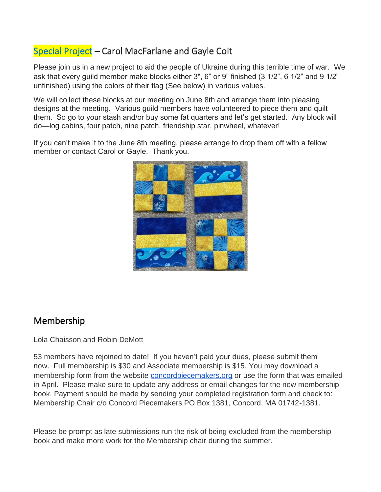# Special Project – Carol MacFarlane and Gayle Coit

Please join us in a new project to aid the people of Ukraine during this terrible time of war. We ask that every guild member make blocks either 3", 6" or 9" finished (3 1/2", 6 1/2" and 9 1/2" unfinished) using the colors of their flag (See below) in various values.

We will collect these blocks at our meeting on June 8th and arrange them into pleasing designs at the meeting. Various guild members have volunteered to piece them and quilt them. So go to your stash and/or buy some fat quarters and let's get started. Any block will do—log cabins, four patch, nine patch, friendship star, pinwheel, whatever!

If you can't make it to the June 8th meeting, please arrange to drop them off with a fellow member or contact Carol or Gayle. Thank you.



### Membership

Lola Chaisson and Robin DeMott

53 members have rejoined to date! If you haven't paid your dues, please submit them now. Full membership is \$30 and Associate membership is \$15. You may download a membership form from the website **[concordpiecemakers.org](http://concordpiecemakers.org/)** or use the form that was emailed in April. Please make sure to update any address or email changes for the new membership book. Payment should be made by sending your completed registration form and check to: Membership Chair c/o Concord Piecemakers PO Box 1381, Concord, MA 01742-1381.

Please be prompt as late submissions run the risk of being excluded from the membership book and make more work for the Membership chair during the summer.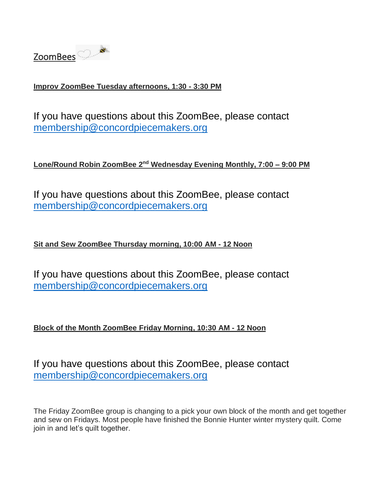

#### **Improv ZoomBee Tuesday afternoons, 1:30 - 3:30 PM**

If you have questions about this ZoomBee, please contact [membership@concordpiecemakers.org](mailto:membership@concordpiecemakers.org)

#### Lone/Round Robin ZoomBee 2<sup>nd</sup> Wednesday Evening Monthly, 7:00 - 9:00 PM

If you have questions about this ZoomBee, please contact [membership@concordpiecemakers.org](mailto:membership@concordpiecemakers.org)

#### **Sit and Sew ZoomBee Thursday morning, 10:00 AM - 12 Noon**

If you have questions about this ZoomBee, please contact [membership@concordpiecemakers.org](mailto:membership@concordpiecemakers.org)

#### **Block of the Month ZoomBee Friday Morning, 10:30 AM - 12 Noon**

If you have questions about this ZoomBee, please contact [membership@concordpiecemakers.org](mailto:membership@concordpiecemakers.org)

The Friday ZoomBee group is changing to a pick your own block of the month and get together and sew on Fridays. Most people have finished the Bonnie Hunter winter mystery quilt. Come join in and let's quilt together.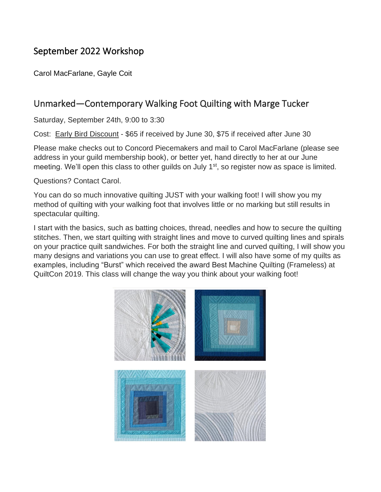# September 2022 Workshop

Carol MacFarlane, Gayle Coit

### Unmarked—Contemporary Walking Foot Quilting with Marge Tucker

Saturday, September 24th, 9:00 to 3:30

Cost: Early Bird Discount - \$65 if received by June 30, \$75 if received after June 30

Please make checks out to Concord Piecemakers and mail to Carol MacFarlane (please see address in your guild membership book), or better yet, hand directly to her at our June meeting. We'll open this class to other guilds on July 1<sup>st</sup>, so register now as space is limited.

Questions? Contact Carol.

You can do so much innovative quilting JUST with your walking foot! I will show you my method of quilting with your walking foot that involves little or no marking but still results in spectacular quilting.

I start with the basics, such as batting choices, thread, needles and how to secure the quilting stitches. Then, we start quilting with straight lines and move to curved quilting lines and spirals on your practice quilt sandwiches. For both the straight line and curved quilting, I will show you many designs and variations you can use to great effect. I will also have some of my quilts as examples, including "Burst" which received the award Best Machine Quilting (Frameless) at QuiltCon 2019. This class will change the way you think about your walking foot!

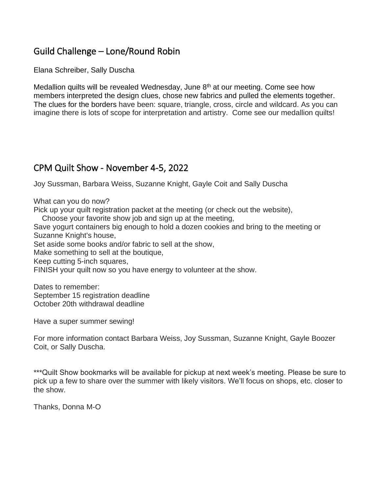### Guild Challenge – Lone/Round Robin

Elana Schreiber, Sally Duscha

Medallion quilts will be revealed Wednesday, June 8<sup>th</sup> at our meeting. Come see how members interpreted the design clues, chose new fabrics and pulled the elements together. The clues for the borders have been: square, triangle, cross, circle and wildcard. As you can imagine there is lots of scope for interpretation and artistry. Come see our medallion quilts!

### CPM Quilt Show - November 4-5, 2022

Joy Sussman, Barbara Weiss, Suzanne Knight, Gayle Coit and Sally Duscha

What can you do now?

Pick up your quilt registration packet at the meeting (or check out the website),

Choose your favorite show job and sign up at the meeting,

Save yogurt containers big enough to hold a dozen cookies and bring to the meeting or Suzanne Knight's house,

Set aside some books and/or fabric to sell at the show,

Make something to sell at the boutique,

Keep cutting 5-inch squares,

FINISH your quilt now so you have energy to volunteer at the show.

Dates to remember: September 15 registration deadline October 20th withdrawal deadline

Have a super summer sewing!

For more information contact Barbara Weiss, Joy Sussman, Suzanne Knight, Gayle Boozer Coit, or Sally Duscha.

\*\*\*Quilt Show bookmarks will be available for pickup at next week's meeting. Please be sure to pick up a few to share over the summer with likely visitors. We'll focus on shops, etc. closer to the show.

Thanks, Donna M-O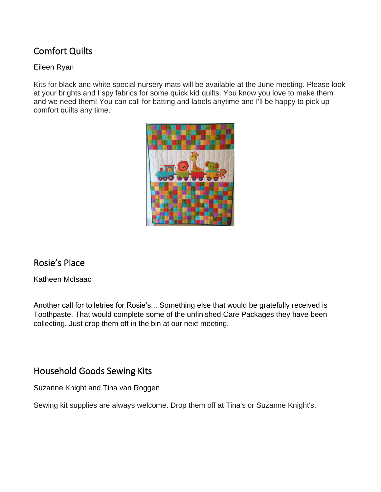# Comfort Quilts

#### Eileen Ryan

Kits for black and white special nursery mats will be available at the June meeting. Please look at your brights and I spy fabrics for some quick kid quilts. You know you love to make them and we need them! You can call for batting and labels anytime and I'll be happy to pick up comfort quilts any time.



# Rosie's Place

Katheen McIsaac

Another call for toiletries for Rosie's... Something else that would be gratefully received is Toothpaste. That would complete some of the unfinished Care Packages they have been collecting. Just drop them off in the bin at our next meeting.

### Household Goods Sewing Kits

Suzanne Knight and Tina van Roggen

Sewing kit supplies are always welcome. Drop them off at Tina's or Suzanne Knight's.